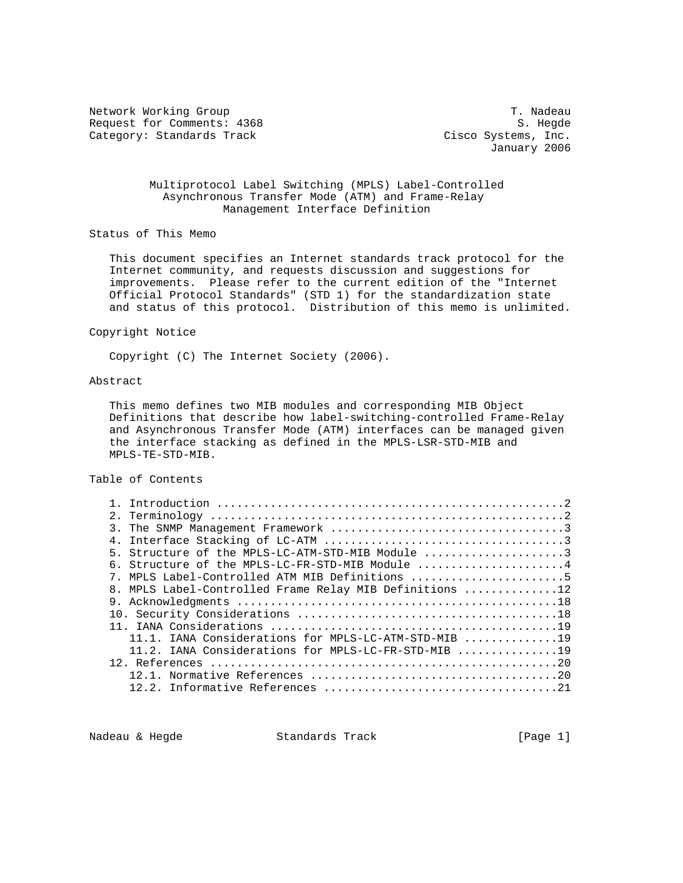Network Working Group T. Nadeau Request for Comments: 4368 S. Hegde Category: Standards Track Cisco Systems, Inc.

January 2006

## Multiprotocol Label Switching (MPLS) Label-Controlled Asynchronous Transfer Mode (ATM) and Frame-Relay Management Interface Definition

Status of This Memo

 This document specifies an Internet standards track protocol for the Internet community, and requests discussion and suggestions for improvements. Please refer to the current edition of the "Internet Official Protocol Standards" (STD 1) for the standardization state and status of this protocol. Distribution of this memo is unlimited.

#### Copyright Notice

Copyright (C) The Internet Society (2006).

# Abstract

 This memo defines two MIB modules and corresponding MIB Object Definitions that describe how label-switching-controlled Frame-Relay and Asynchronous Transfer Mode (ATM) interfaces can be managed given the interface stacking as defined in the MPLS-LSR-STD-MIB and MPLS-TE-STD-MIB.

## Table of Contents

| 5. Structure of the MPLS-LC-ATM-STD-MIB Module 3                                          |
|-------------------------------------------------------------------------------------------|
| 6. Structure of the MPLS-LC-FR-STD-MIB Module $\ldots, \ldots, \ldots, \ldots, \ldots, 4$ |
| 7. MPLS Label-Controlled ATM MIB Definitions 5                                            |
| 8. MPLS Label-Controlled Frame Relay MIB Definitions 12                                   |
|                                                                                           |
|                                                                                           |
|                                                                                           |
| 11.1. IANA Considerations for MPLS-LC-ATM-STD-MIB 19                                      |
| 11.2. IANA Considerations for MPLS-LC-FR-STD-MIB 19                                       |
|                                                                                           |
|                                                                                           |
|                                                                                           |
|                                                                                           |

Nadeau & Hegde Standards Track [Page 1]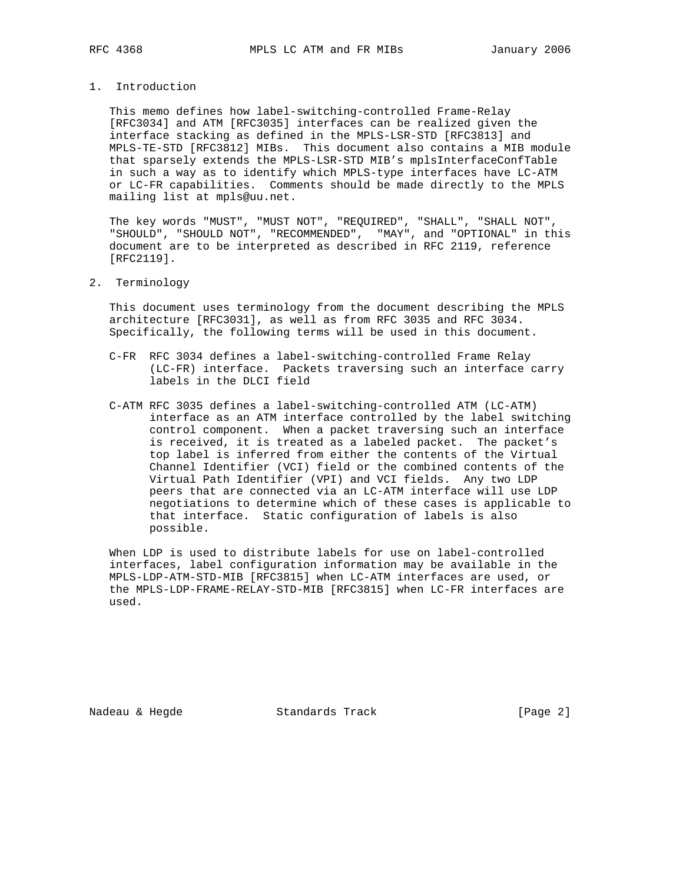### 1. Introduction

 This memo defines how label-switching-controlled Frame-Relay [RFC3034] and ATM [RFC3035] interfaces can be realized given the interface stacking as defined in the MPLS-LSR-STD [RFC3813] and MPLS-TE-STD [RFC3812] MIBs. This document also contains a MIB module that sparsely extends the MPLS-LSR-STD MIB's mplsInterfaceConfTable in such a way as to identify which MPLS-type interfaces have LC-ATM or LC-FR capabilities. Comments should be made directly to the MPLS mailing list at mpls@uu.net.

 The key words "MUST", "MUST NOT", "REQUIRED", "SHALL", "SHALL NOT", "SHOULD", "SHOULD NOT", "RECOMMENDED", "MAY", and "OPTIONAL" in this document are to be interpreted as described in RFC 2119, reference [RFC2119].

#### 2. Terminology

 This document uses terminology from the document describing the MPLS architecture [RFC3031], as well as from RFC 3035 and RFC 3034. Specifically, the following terms will be used in this document.

- C-FR RFC 3034 defines a label-switching-controlled Frame Relay (LC-FR) interface. Packets traversing such an interface carry labels in the DLCI field
- C-ATM RFC 3035 defines a label-switching-controlled ATM (LC-ATM) interface as an ATM interface controlled by the label switching control component. When a packet traversing such an interface is received, it is treated as a labeled packet. The packet's top label is inferred from either the contents of the Virtual Channel Identifier (VCI) field or the combined contents of the Virtual Path Identifier (VPI) and VCI fields. Any two LDP peers that are connected via an LC-ATM interface will use LDP negotiations to determine which of these cases is applicable to that interface. Static configuration of labels is also possible.

 When LDP is used to distribute labels for use on label-controlled interfaces, label configuration information may be available in the MPLS-LDP-ATM-STD-MIB [RFC3815] when LC-ATM interfaces are used, or the MPLS-LDP-FRAME-RELAY-STD-MIB [RFC3815] when LC-FR interfaces are used.

Nadeau & Hegde Standards Track [Page 2]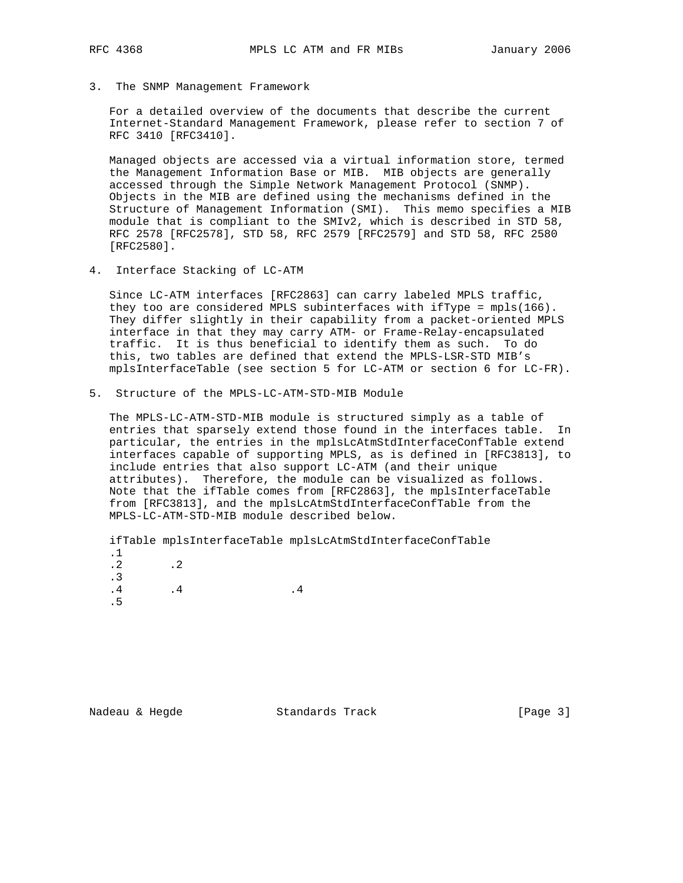3. The SNMP Management Framework

 For a detailed overview of the documents that describe the current Internet-Standard Management Framework, please refer to section 7 of RFC 3410 [RFC3410].

 Managed objects are accessed via a virtual information store, termed the Management Information Base or MIB. MIB objects are generally accessed through the Simple Network Management Protocol (SNMP). Objects in the MIB are defined using the mechanisms defined in the Structure of Management Information (SMI). This memo specifies a MIB module that is compliant to the SMIv2, which is described in STD 58, RFC 2578 [RFC2578], STD 58, RFC 2579 [RFC2579] and STD 58, RFC 2580 [RFC2580].

4. Interface Stacking of LC-ATM

 Since LC-ATM interfaces [RFC2863] can carry labeled MPLS traffic, they too are considered MPLS subinterfaces with ifType = mpls(166). They differ slightly in their capability from a packet-oriented MPLS interface in that they may carry ATM- or Frame-Relay-encapsulated traffic. It is thus beneficial to identify them as such. To do this, two tables are defined that extend the MPLS-LSR-STD MIB's mplsInterfaceTable (see section 5 for LC-ATM or section 6 for LC-FR).

5. Structure of the MPLS-LC-ATM-STD-MIB Module

 The MPLS-LC-ATM-STD-MIB module is structured simply as a table of entries that sparsely extend those found in the interfaces table. In particular, the entries in the mplsLcAtmStdInterfaceConfTable extend interfaces capable of supporting MPLS, as is defined in [RFC3813], to include entries that also support LC-ATM (and their unique attributes). Therefore, the module can be visualized as follows. Note that the ifTable comes from [RFC2863], the mplsInterfaceTable from [RFC3813], and the mplsLcAtmStdInterfaceConfTable from the MPLS-LC-ATM-STD-MIB module described below.

 ifTable mplsInterfaceTable mplsLcAtmStdInterfaceConfTable .1 .2 .2 .3  $\begin{array}{cccccccccc} . & 4 & & & & & .4 & & & & & .4 \end{array}$ .5

Nadeau & Hegde Standards Track [Page 3]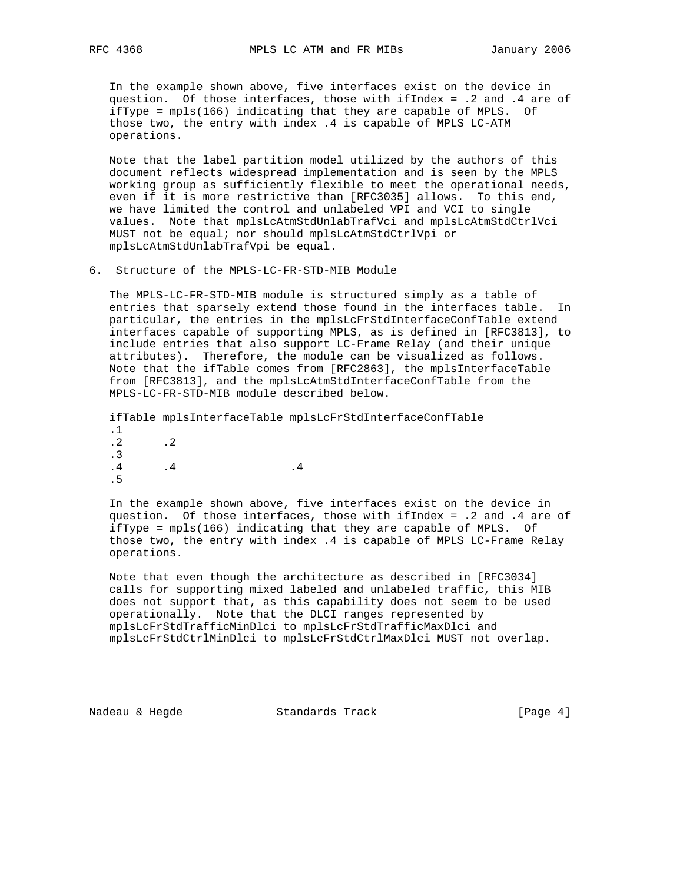In the example shown above, five interfaces exist on the device in question. Of those interfaces, those with ifIndex = .2 and .4 are of ifType = mpls(166) indicating that they are capable of MPLS. Of those two, the entry with index .4 is capable of MPLS LC-ATM operations.

 Note that the label partition model utilized by the authors of this document reflects widespread implementation and is seen by the MPLS working group as sufficiently flexible to meet the operational needs, even if it is more restrictive than [RFC3035] allows. To this end, we have limited the control and unlabeled VPI and VCI to single values. Note that mplsLcAtmStdUnlabTrafVci and mplsLcAtmStdCtrlVci MUST not be equal; nor should mplsLcAtmStdCtrlVpi or mplsLcAtmStdUnlabTrafVpi be equal.

6. Structure of the MPLS-LC-FR-STD-MIB Module

 The MPLS-LC-FR-STD-MIB module is structured simply as a table of entries that sparsely extend those found in the interfaces table. In particular, the entries in the mplsLcFrStdInterfaceConfTable extend interfaces capable of supporting MPLS, as is defined in [RFC3813], to include entries that also support LC-Frame Relay (and their unique attributes). Therefore, the module can be visualized as follows. Note that the ifTable comes from [RFC2863], the mplsInterfaceTable from [RFC3813], and the mplsLcAtmStdInterfaceConfTable from the MPLS-LC-FR-STD-MIB module described below.

 ifTable mplsInterfaceTable mplsLcFrStdInterfaceConfTable .1  $.2$   $.2$  .3  $\begin{tabular}{ccccc} .4 & .4 & .4 \\ \hline \end{tabular}$ .5

 In the example shown above, five interfaces exist on the device in question. Of those interfaces, those with ifIndex = .2 and .4 are of ifType = mpls(166) indicating that they are capable of MPLS. Of those two, the entry with index .4 is capable of MPLS LC-Frame Relay operations.

 Note that even though the architecture as described in [RFC3034] calls for supporting mixed labeled and unlabeled traffic, this MIB does not support that, as this capability does not seem to be used operationally. Note that the DLCI ranges represented by mplsLcFrStdTrafficMinDlci to mplsLcFrStdTrafficMaxDlci and mplsLcFrStdCtrlMinDlci to mplsLcFrStdCtrlMaxDlci MUST not overlap.

Nadeau & Hegde Standards Track [Page 4]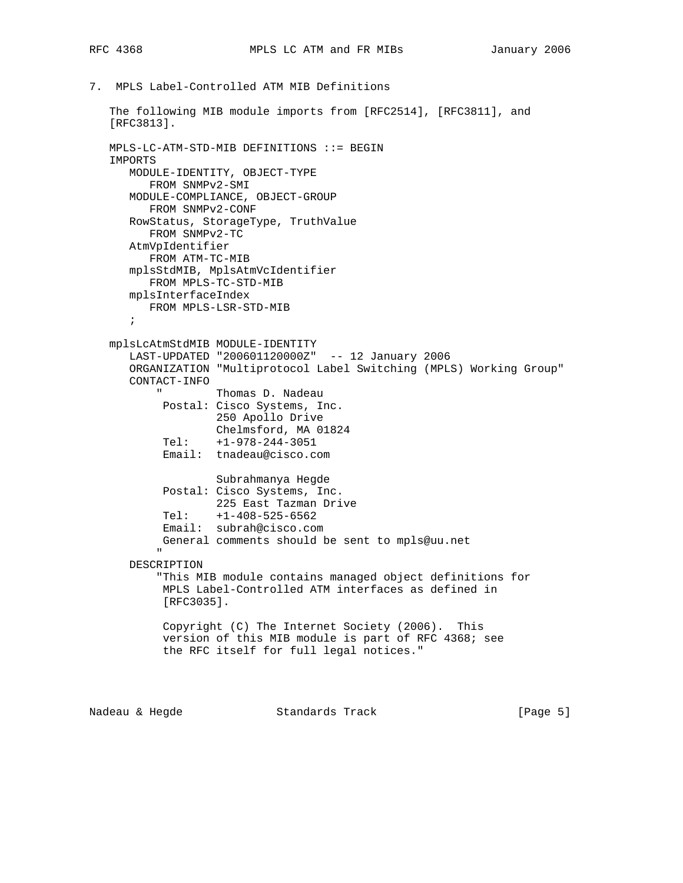7. MPLS Label-Controlled ATM MIB Definitions

```
 The following MIB module imports from [RFC2514], [RFC3811], and
    [RFC3813].
    MPLS-LC-ATM-STD-MIB DEFINITIONS ::= BEGIN
    IMPORTS
       MODULE-IDENTITY, OBJECT-TYPE
           FROM SNMPv2-SMI
       MODULE-COMPLIANCE, OBJECT-GROUP
          FROM SNMPv2-CONF
       RowStatus, StorageType, TruthValue
          FROM SNMPv2-TC
       AtmVpIdentifier
           FROM ATM-TC-MIB
       mplsStdMIB, MplsAtmVcIdentifier
           FROM MPLS-TC-STD-MIB
       mplsInterfaceIndex
          FROM MPLS-LSR-STD-MIB
        ;
    mplsLcAtmStdMIB MODULE-IDENTITY
       LAST-UPDATED "200601120000Z" -- 12 January 2006
       ORGANIZATION "Multiprotocol Label Switching (MPLS) Working Group"
        CONTACT-INFO
                      Thomas D. Nadeau
             Postal: Cisco Systems, Inc.
                       250 Apollo Drive
                       Chelmsford, MA 01824
              Tel: +1-978-244-3051
              Email: tnadeau@cisco.com
                       Subrahmanya Hegde
              Postal: Cisco Systems, Inc.
                       225 East Tazman Drive
              Tel: +1-408-525-6562
              Email: subrah@cisco.com
             General comments should be sent to mpls@uu.net
" "The Contract of the Contract of the Contract of the Contract of the Contract of the Contract of the Contract of the Contract of the Contract of the Contract of the Contract of the Contract of the Contract of the Contrac
        DESCRIPTION
             "This MIB module contains managed object definitions for
             MPLS Label-Controlled ATM interfaces as defined in
             [RFC3035].
              Copyright (C) The Internet Society (2006). This
              version of this MIB module is part of RFC 4368; see
              the RFC itself for full legal notices."
```
Nadeau & Hegde Standards Track (Page 5)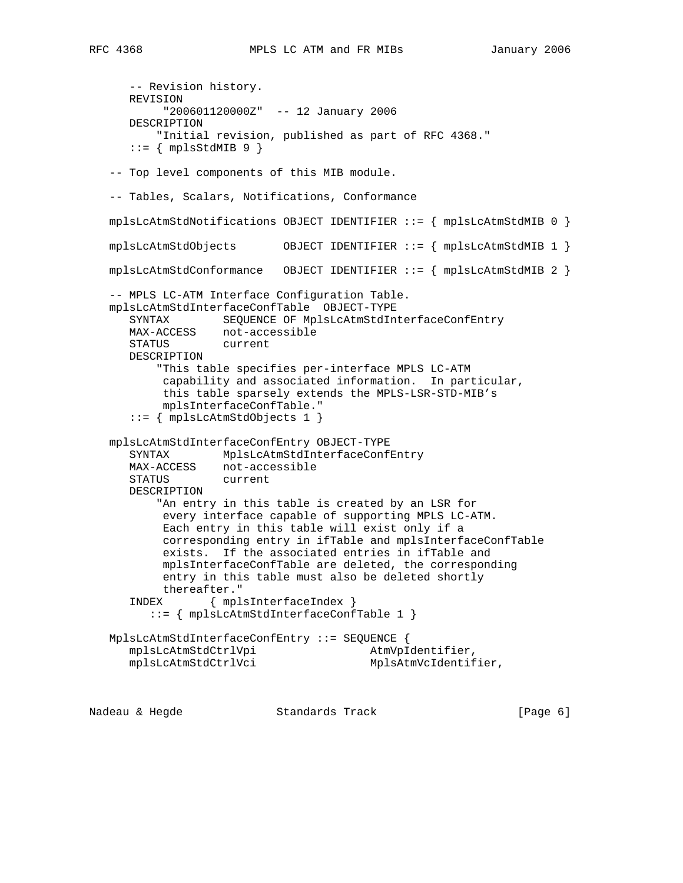-- Revision history. REVISION "200601120000Z" -- 12 January 2006 DESCRIPTION "Initial revision, published as part of RFC 4368."  $::=$  { mplsStdMIB 9 } -- Top level components of this MIB module. -- Tables, Scalars, Notifications, Conformance mplsLcAtmStdNotifications OBJECT IDENTIFIER ::= { mplsLcAtmStdMIB 0 } mplsLcAtmStdObjects OBJECT IDENTIFIER ::= { mplsLcAtmStdMIB 1 } mplsLcAtmStdConformance OBJECT IDENTIFIER ::= { mplsLcAtmStdMIB 2 } -- MPLS LC-ATM Interface Configuration Table. mplsLcAtmStdInterfaceConfTable OBJECT-TYPE SYNTAX SEQUENCE OF MplsLcAtmStdInterfaceConfEntry MAX-ACCESS not-accessible STATUS current DESCRIPTION "This table specifies per-interface MPLS LC-ATM capability and associated information. In particular, this table sparsely extends the MPLS-LSR-STD-MIB's mplsInterfaceConfTable." ::= { mplsLcAtmStdObjects 1 } mplsLcAtmStdInterfaceConfEntry OBJECT-TYPE SYNTAX MplsLcAtmStdInterfaceConfEntry MAX-ACCESS not-accessible STATUS current DESCRIPTION "An entry in this table is created by an LSR for every interface capable of supporting MPLS LC-ATM. Each entry in this table will exist only if a corresponding entry in ifTable and mplsInterfaceConfTable exists. If the associated entries in ifTable and mplsInterfaceConfTable are deleted, the corresponding entry in this table must also be deleted shortly thereafter." INDEX { mplsInterfaceIndex } ::= { mplsLcAtmStdInterfaceConfTable 1 } MplsLcAtmStdInterfaceConfEntry ::= SEQUENCE { mplsLcAtmStdCtrlVpi AtmVpIdentifier, mplsLcAtmStdCtrlVci MplsAtmVcIdentifier,

Nadeau & Hegde Standards Track (Page 6)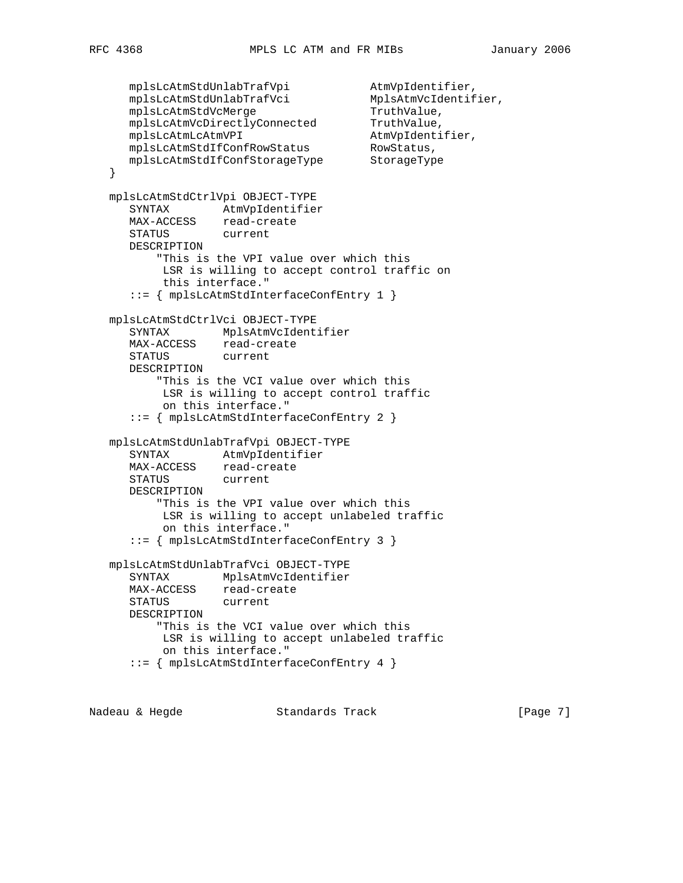```
mplsLcAtmStdUnlabTrafVpi               AtmVpIdentifier,
 mplsLcAtmStdUnlabTrafVci MplsAtmVcIdentifier,
mplsLcAtmStdVcMerge TruthValue,
 mplsLcAtmVcDirectlyConnected TruthValue,
 mplsLcAtmLcAtmVPI AtmVpIdentifier,
 mplsLcAtmStdIfConfRowStatus RowStatus,
 mplsLcAtmStdIfConfStorageType StorageType
   }
   mplsLcAtmStdCtrlVpi OBJECT-TYPE
      SYNTAX AtmVpIdentifier
 MAX-ACCESS read-create
 STATUS current
      DESCRIPTION
          "This is the VPI value over which this
          LSR is willing to accept control traffic on
          this interface."
      ::= { mplsLcAtmStdInterfaceConfEntry 1 }
   mplsLcAtmStdCtrlVci OBJECT-TYPE
      SYNTAX MplsAtmVcIdentifier
      MAX-ACCESS read-create
      STATUS current
      DESCRIPTION
          "This is the VCI value over which this
          LSR is willing to accept control traffic
          on this interface."
      ::= { mplsLcAtmStdInterfaceConfEntry 2 }
   mplsLcAtmStdUnlabTrafVpi OBJECT-TYPE
     SYNTAX AtmVpIdentifier
 MAX-ACCESS read-create
 STATUS current
      DESCRIPTION
          "This is the VPI value over which this
          LSR is willing to accept unlabeled traffic
          on this interface."
      ::= { mplsLcAtmStdInterfaceConfEntry 3 }
   mplsLcAtmStdUnlabTrafVci OBJECT-TYPE
      SYNTAX MplsAtmVcIdentifier
      MAX-ACCESS read-create
      STATUS current
      DESCRIPTION
         "This is the VCI value over which this
          LSR is willing to accept unlabeled traffic
          on this interface."
      ::= { mplsLcAtmStdInterfaceConfEntry 4 }
```
Nadeau & Hegde Standards Track [Page 7]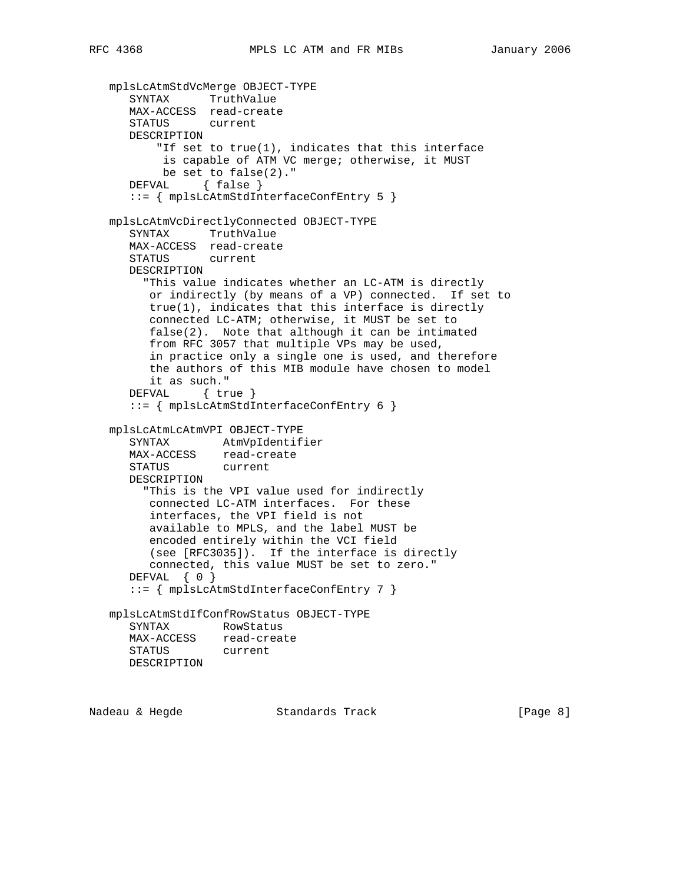```
 mplsLcAtmStdVcMerge OBJECT-TYPE
 SYNTAX TruthValue
 MAX-ACCESS read-create
      STATUS current
      DESCRIPTION
         "If set to true(1), indicates that this interface
           is capable of ATM VC merge; otherwise, it MUST
           be set to false(2)."
     DEFVAL { false }
      ::= { mplsLcAtmStdInterfaceConfEntry 5 }
   mplsLcAtmVcDirectlyConnected OBJECT-TYPE
      SYNTAX TruthValue
      MAX-ACCESS read-create
      STATUS current
      DESCRIPTION
        "This value indicates whether an LC-ATM is directly
         or indirectly (by means of a VP) connected. If set to
         true(1), indicates that this interface is directly
         connected LC-ATM; otherwise, it MUST be set to
         false(2). Note that although it can be intimated
         from RFC 3057 that multiple VPs may be used,
         in practice only a single one is used, and therefore
         the authors of this MIB module have chosen to model
         it as such."
      DEFVAL { true }
      ::= { mplsLcAtmStdInterfaceConfEntry 6 }
   mplsLcAtmLcAtmVPI OBJECT-TYPE
      SYNTAX AtmVpIdentifier
 MAX-ACCESS read-create
 STATUS current
      DESCRIPTION
        "This is the VPI value used for indirectly
         connected LC-ATM interfaces. For these
         interfaces, the VPI field is not
         available to MPLS, and the label MUST be
         encoded entirely within the VCI field
         (see [RFC3035]). If the interface is directly
         connected, this value MUST be set to zero."
     DEFVAL { 0 }
      ::= { mplsLcAtmStdInterfaceConfEntry 7 }
   mplsLcAtmStdIfConfRowStatus OBJECT-TYPE
      SYNTAX RowStatus
      MAX-ACCESS read-create
      STATUS current
      DESCRIPTION
```
Nadeau & Hegde Standards Track [Page 8]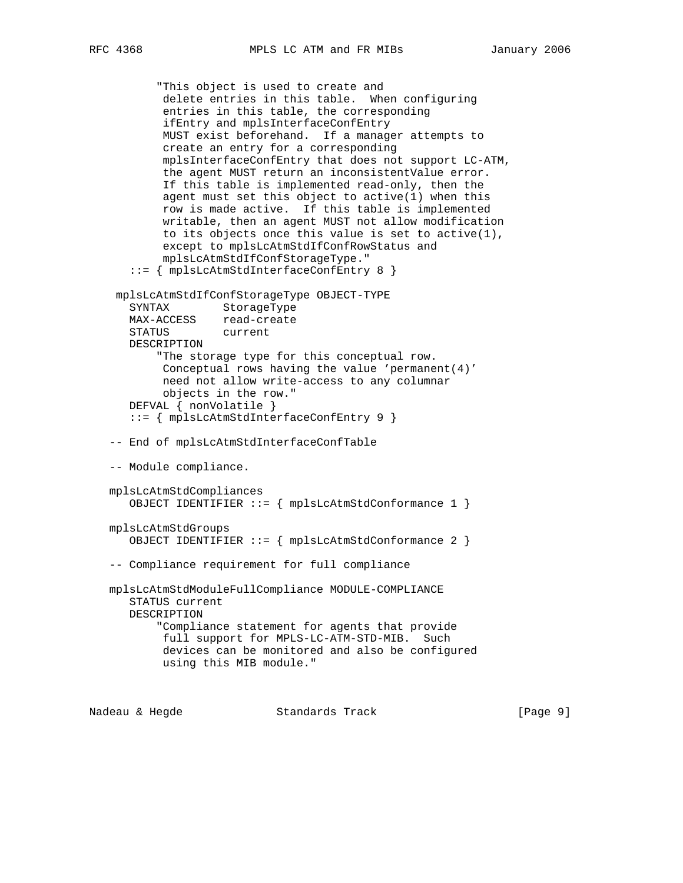```
 "This object is used to create and
         delete entries in this table. When configuring
         entries in this table, the corresponding
         ifEntry and mplsInterfaceConfEntry
         MUST exist beforehand. If a manager attempts to
         create an entry for a corresponding
         mplsInterfaceConfEntry that does not support LC-ATM,
         the agent MUST return an inconsistentValue error.
         If this table is implemented read-only, then the
         agent must set this object to active(1) when this
         row is made active. If this table is implemented
         writable, then an agent MUST not allow modification
         to its objects once this value is set to active(1),
         except to mplsLcAtmStdIfConfRowStatus and
         mplsLcAtmStdIfConfStorageType."
    ::= { mplsLcAtmStdInterfaceConfEntry 8 }
  mplsLcAtmStdIfConfStorageType OBJECT-TYPE
    SYNTAX StorageType
    MAX-ACCESS read-create
    STATUS current
    DESCRIPTION
        "The storage type for this conceptual row.
         Conceptual rows having the value 'permanent(4)'
         need not allow write-access to any columnar
         objects in the row."
    DEFVAL { nonVolatile }
    ::= { mplsLcAtmStdInterfaceConfEntry 9 }
 -- End of mplsLcAtmStdInterfaceConfTable
 -- Module compliance.
 mplsLcAtmStdCompliances
    OBJECT IDENTIFIER ::= { mplsLcAtmStdConformance 1 }
 mplsLcAtmStdGroups
    OBJECT IDENTIFIER ::= { mplsLcAtmStdConformance 2 }
 -- Compliance requirement for full compliance
 mplsLcAtmStdModuleFullCompliance MODULE-COMPLIANCE
    STATUS current
    DESCRIPTION
        "Compliance statement for agents that provide
         full support for MPLS-LC-ATM-STD-MIB. Such
         devices can be monitored and also be configured
         using this MIB module."
```
Nadeau & Hegde Standards Track [Page 9]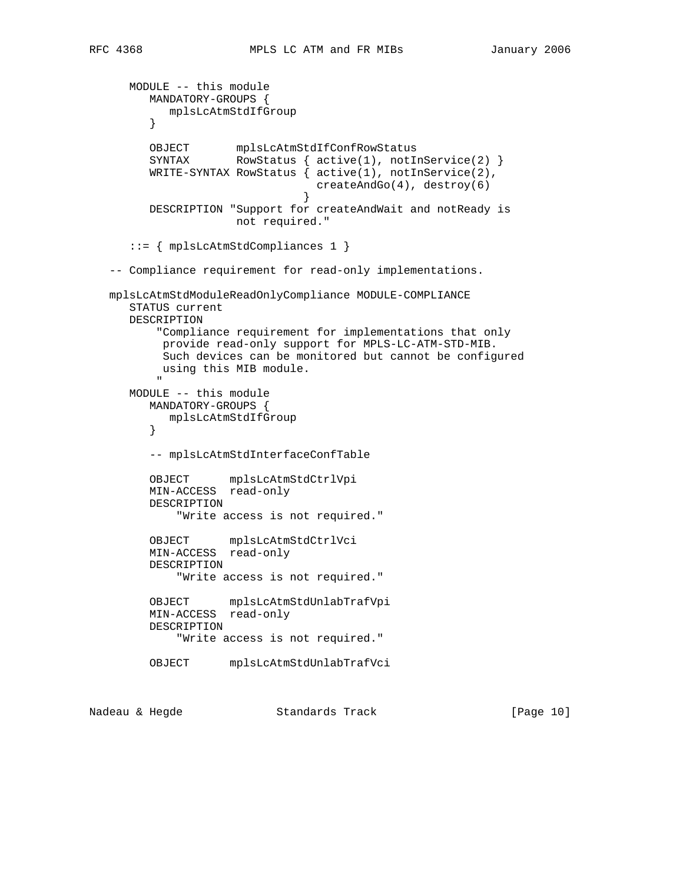```
 MODULE -- this module
          MANDATORY-GROUPS {
              mplsLcAtmStdIfGroup
           }
 OBJECT mplsLcAtmStdIfConfRowStatus
SYNTAX RowStatus { active(1), notInService(2) }
           WRITE-SYNTAX RowStatus { active(1), notInService(2),
                                       createAndGo(4), destroy(6)
 }
           DESCRIPTION "Support for createAndWait and notReady is
                         not required."
       ::= { mplsLcAtmStdCompliances 1 }
    -- Compliance requirement for read-only implementations.
   mplsLcAtmStdModuleReadOnlyCompliance MODULE-COMPLIANCE
       STATUS current
       DESCRIPTION
            "Compliance requirement for implementations that only
             provide read-only support for MPLS-LC-ATM-STD-MIB.
             Such devices can be monitored but cannot be configured
            using this MIB module.
" "The Contract of the Contract of the Contract of the Contract of the Contract of the Contract of the Contract of the Contract of the Contract of the Contract of the Contract of the Contract of the Contract of the Contrac
       MODULE -- this module
           MANDATORY-GROUPS {
             mplsLcAtmStdIfGroup
           }
           -- mplsLcAtmStdInterfaceConfTable
           OBJECT mplsLcAtmStdCtrlVpi
           MIN-ACCESS read-only
           DESCRIPTION
               "Write access is not required."
           OBJECT mplsLcAtmStdCtrlVci
           MIN-ACCESS read-only
           DESCRIPTION
               "Write access is not required."
           OBJECT mplsLcAtmStdUnlabTrafVpi
           MIN-ACCESS read-only
           DESCRIPTION
               "Write access is not required."
           OBJECT mplsLcAtmStdUnlabTrafVci
```
Nadeau & Hegde Standards Track [Page 10]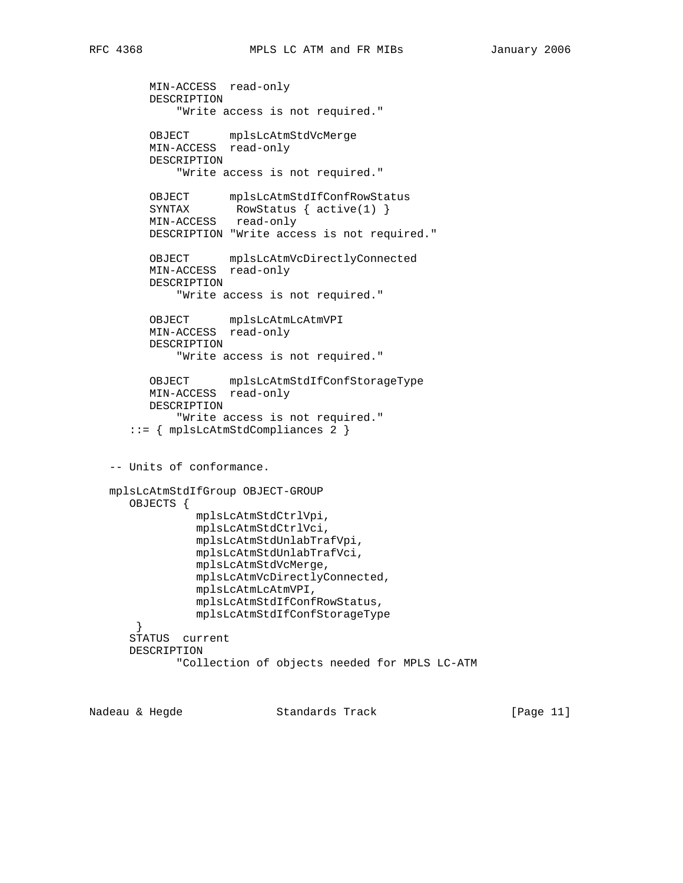```
 MIN-ACCESS read-only
         DESCRIPTION
             "Write access is not required."
 OBJECT mplsLcAtmStdVcMerge
 MIN-ACCESS read-only
         DESCRIPTION
             "Write access is not required."
 OBJECT mplsLcAtmStdIfConfRowStatus
SYNTAX RowStatus { active(1) }
         MIN-ACCESS read-only
         DESCRIPTION "Write access is not required."
         OBJECT mplsLcAtmVcDirectlyConnected
         MIN-ACCESS read-only
         DESCRIPTION
             "Write access is not required."
         OBJECT mplsLcAtmLcAtmVPI
         MIN-ACCESS read-only
         DESCRIPTION
             "Write access is not required."
 OBJECT mplsLcAtmStdIfConfStorageType
 MIN-ACCESS read-only
         DESCRIPTION
             "Write access is not required."
      ::= { mplsLcAtmStdCompliances 2 }
   -- Units of conformance.
   mplsLcAtmStdIfGroup OBJECT-GROUP
      OBJECTS {
                mplsLcAtmStdCtrlVpi,
                mplsLcAtmStdCtrlVci,
                mplsLcAtmStdUnlabTrafVpi,
                mplsLcAtmStdUnlabTrafVci,
                mplsLcAtmStdVcMerge,
                mplsLcAtmVcDirectlyConnected,
                mplsLcAtmLcAtmVPI,
               mplsLcAtmStdIfConfRowStatus,
               mplsLcAtmStdIfConfStorageType
       }
      STATUS current
      DESCRIPTION
             "Collection of objects needed for MPLS LC-ATM
```
Nadeau & Hegde Standards Track [Page 11]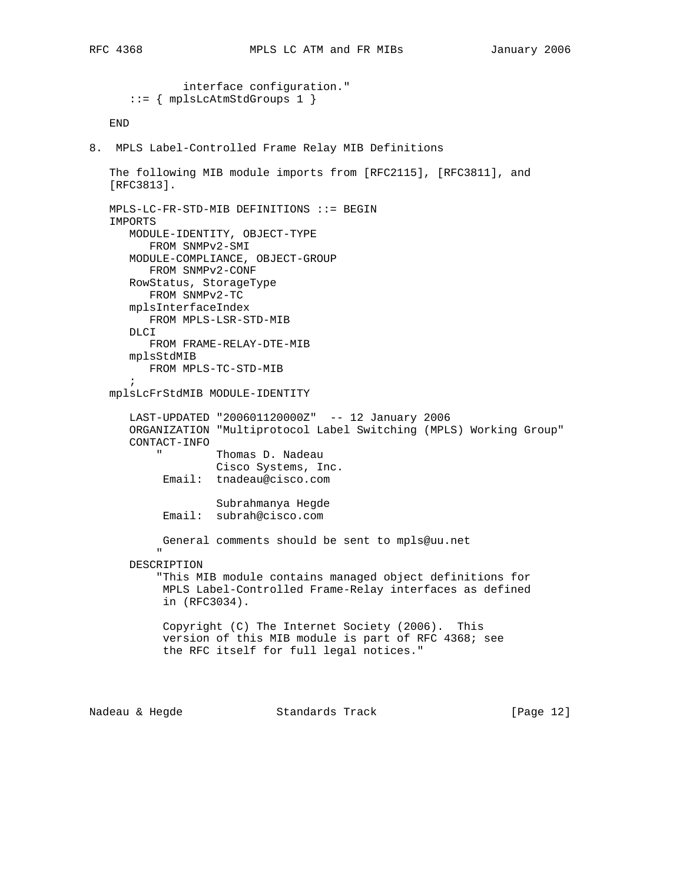```
 interface configuration."
        ::= { mplsLcAtmStdGroups 1 }
    END
8. MPLS Label-Controlled Frame Relay MIB Definitions
    The following MIB module imports from [RFC2115], [RFC3811], and
    [RFC3813].
    MPLS-LC-FR-STD-MIB DEFINITIONS ::= BEGIN
    IMPORTS
       MODULE-IDENTITY, OBJECT-TYPE
          FROM SNMPv2-SMI
        MODULE-COMPLIANCE, OBJECT-GROUP
           FROM SNMPv2-CONF
        RowStatus, StorageType
           FROM SNMPv2-TC
        mplsInterfaceIndex
           FROM MPLS-LSR-STD-MIB
        DLCI
           FROM FRAME-RELAY-DTE-MIB
        mplsStdMIB
          FROM MPLS-TC-STD-MIB
        ;
    mplsLcFrStdMIB MODULE-IDENTITY
        LAST-UPDATED "200601120000Z" -- 12 January 2006
        ORGANIZATION "Multiprotocol Label Switching (MPLS) Working Group"
        CONTACT-INFO
                      Thomas D. Nadeau
                       Cisco Systems, Inc.
              Email: tnadeau@cisco.com
                        Subrahmanya Hegde
              Email: subrah@cisco.com
              General comments should be sent to mpls@uu.net
" "The Contract of the Contract of the Contract of the Contract of the Contract of the Contract of the Contract of the Contract of the Contract of the Contract of the Contract of the Contract of the Contract of the Contrac
        DESCRIPTION
             "This MIB module contains managed object definitions for
              MPLS Label-Controlled Frame-Relay interfaces as defined
              in (RFC3034).
              Copyright (C) The Internet Society (2006). This
              version of this MIB module is part of RFC 4368; see
              the RFC itself for full legal notices."
```
Nadeau & Hegde Standards Track [Page 12]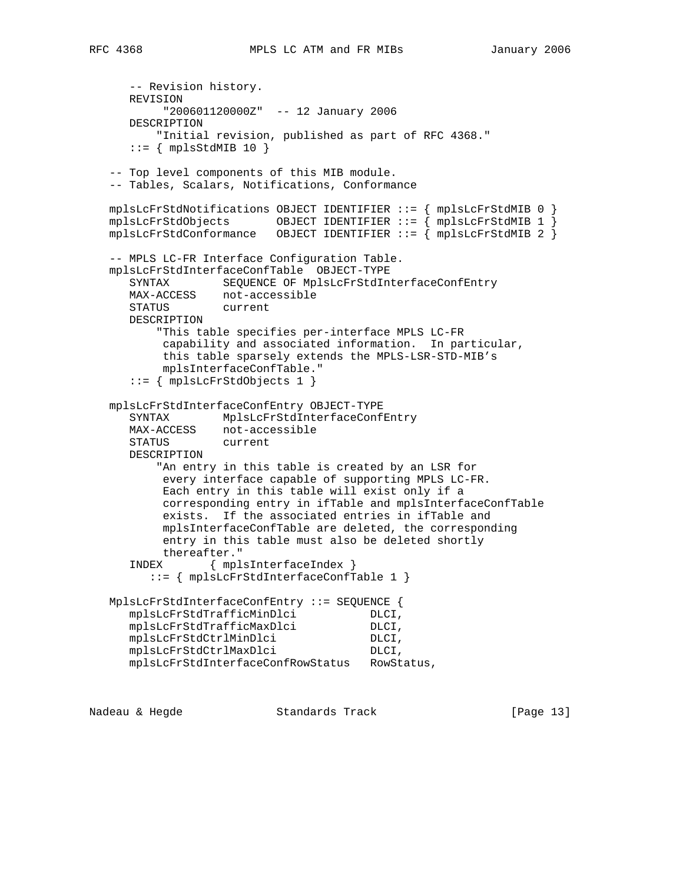```
 -- Revision history.
      REVISION
           "200601120000Z" -- 12 January 2006
      DESCRIPTION
          "Initial revision, published as part of RFC 4368."
     ::= { mplsStdMIB 10 }
   -- Top level components of this MIB module.
   -- Tables, Scalars, Notifications, Conformance
   mplsLcFrStdNotifications OBJECT IDENTIFIER ::= { mplsLcFrStdMIB 0 }
   mplsLcFrStdObjects OBJECT IDENTIFIER ::= { mplsLcFrStdMIB 1 }
  mplsLcFrStdConformance OBJECT IDENTIFIER ::= \{ mplsLcFrStdMIB 2 \} -- MPLS LC-FR Interface Configuration Table.
   mplsLcFrStdInterfaceConfTable OBJECT-TYPE
      SYNTAX SEQUENCE OF MplsLcFrStdInterfaceConfEntry
      MAX-ACCESS not-accessible
      STATUS current
      DESCRIPTION
          "This table specifies per-interface MPLS LC-FR
           capability and associated information. In particular,
           this table sparsely extends the MPLS-LSR-STD-MIB's
           mplsInterfaceConfTable."
      ::= { mplsLcFrStdObjects 1 }
   mplsLcFrStdInterfaceConfEntry OBJECT-TYPE
      SYNTAX MplsLcFrStdInterfaceConfEntry
 MAX-ACCESS not-accessible
 STATUS current
      DESCRIPTION
          "An entry in this table is created by an LSR for
           every interface capable of supporting MPLS LC-FR.
           Each entry in this table will exist only if a
           corresponding entry in ifTable and mplsInterfaceConfTable
           exists. If the associated entries in ifTable and
           mplsInterfaceConfTable are deleted, the corresponding
           entry in this table must also be deleted shortly
           thereafter."
      INDEX { mplsInterfaceIndex }
         ::= { mplsLcFrStdInterfaceConfTable 1 }
   MplsLcFrStdInterfaceConfEntry ::= SEQUENCE {
mplsLcFrStdTrafficMinDlci DLCI,
mplsLcFrStdTrafficMaxDlci DLCI,
     mplsLcFrStdCtrlMinDlci DLCI,<br>mplsLcFrStdCtrlMaxDlci DLCI,
     mplsLcFrStdCtrlMaxDlci
      mplsLcFrStdInterfaceConfRowStatus RowStatus,
```
Nadeau & Hegde Standards Track [Page 13]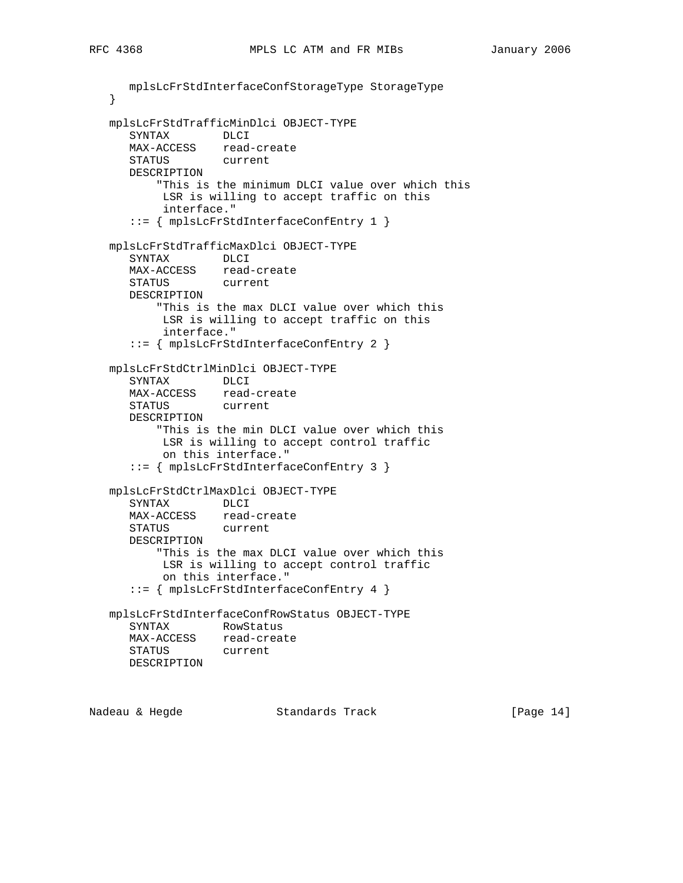```
 mplsLcFrStdInterfaceConfStorageType StorageType
   }
   mplsLcFrStdTrafficMinDlci OBJECT-TYPE
     SYNTAX DLCI
     MAX-ACCESS read-create<br>STATUS current
     STATUS
      DESCRIPTION
          "This is the minimum DLCI value over which this
           LSR is willing to accept traffic on this
           interface."
      ::= { mplsLcFrStdInterfaceConfEntry 1 }
   mplsLcFrStdTrafficMaxDlci OBJECT-TYPE
      SYNTAX DLCI
      MAX-ACCESS read-create
      STATUS current
      DESCRIPTION
          "This is the max DLCI value over which this
           LSR is willing to accept traffic on this
           interface."
      ::= { mplsLcFrStdInterfaceConfEntry 2 }
   mplsLcFrStdCtrlMinDlci OBJECT-TYPE
      SYNTAX DLCI
     MAX-ACCESS read-create
      STATUS current
      DESCRIPTION
          "This is the min DLCI value over which this
           LSR is willing to accept control traffic
           on this interface."
      ::= { mplsLcFrStdInterfaceConfEntry 3 }
   mplsLcFrStdCtrlMaxDlci OBJECT-TYPE
      SYNTAX DLCI
 MAX-ACCESS read-create
 STATUS current
      DESCRIPTION
          "This is the max DLCI value over which this
           LSR is willing to accept control traffic
           on this interface."
      ::= { mplsLcFrStdInterfaceConfEntry 4 }
   mplsLcFrStdInterfaceConfRowStatus OBJECT-TYPE
      SYNTAX RowStatus
      MAX-ACCESS read-create
      STATUS current
      DESCRIPTION
```
Nadeau & Hegde Standards Track [Page 14]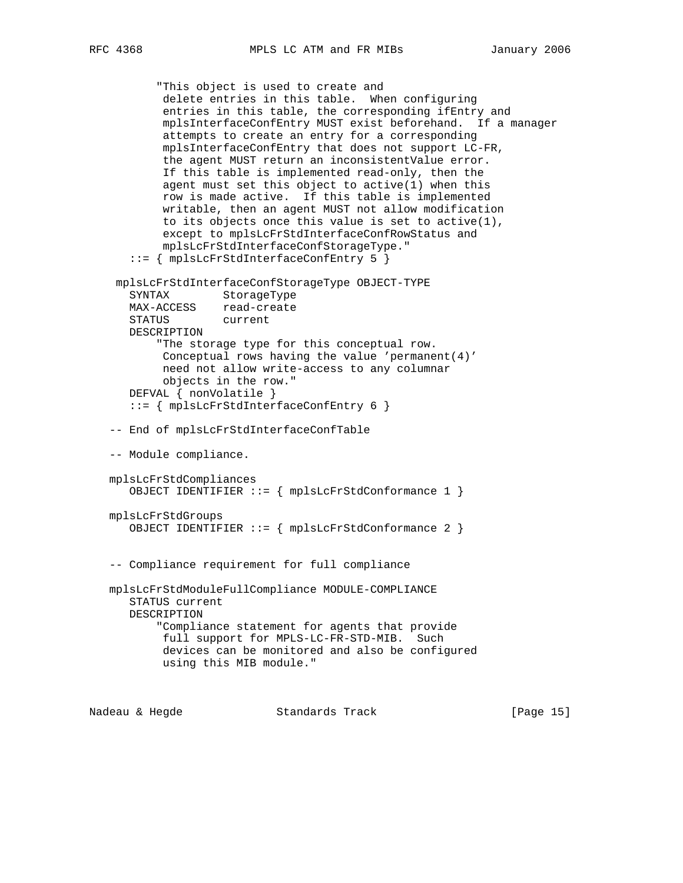```
 "This object is used to create and
            delete entries in this table. When configuring
            entries in this table, the corresponding ifEntry and
            mplsInterfaceConfEntry MUST exist beforehand. If a manager
            attempts to create an entry for a corresponding
            mplsInterfaceConfEntry that does not support LC-FR,
            the agent MUST return an inconsistentValue error.
            If this table is implemented read-only, then the
            agent must set this object to active(1) when this
            row is made active. If this table is implemented
            writable, then an agent MUST not allow modification
            to its objects once this value is set to active(1),
            except to mplsLcFrStdInterfaceConfRowStatus and
            mplsLcFrStdInterfaceConfStorageType."
       ::= { mplsLcFrStdInterfaceConfEntry 5 }
     mplsLcFrStdInterfaceConfStorageType OBJECT-TYPE
       SYNTAX StorageType
      MAX-ACCESS read-create
      STATUS current
      DESCRIPTION
           "The storage type for this conceptual row.
           Conceptual rows having the value 'permanent(4)'
           need not allow write-access to any columnar
           objects in the row."
       DEFVAL { nonVolatile }
       ::= { mplsLcFrStdInterfaceConfEntry 6 }
    -- End of mplsLcFrStdInterfaceConfTable
    -- Module compliance.
   mplsLcFrStdCompliances
      OBJECT IDENTIFIER ::= { mplsLcFrStdConformance 1 }
   mplsLcFrStdGroups
       OBJECT IDENTIFIER ::= { mplsLcFrStdConformance 2 }
    -- Compliance requirement for full compliance
   mplsLcFrStdModuleFullCompliance MODULE-COMPLIANCE
       STATUS current
      DESCRIPTION
           "Compliance statement for agents that provide
           full support for MPLS-LC-FR-STD-MIB. Such
            devices can be monitored and also be configured
           using this MIB module."
Nadeau & Hegde Standards Track [Page 15]
```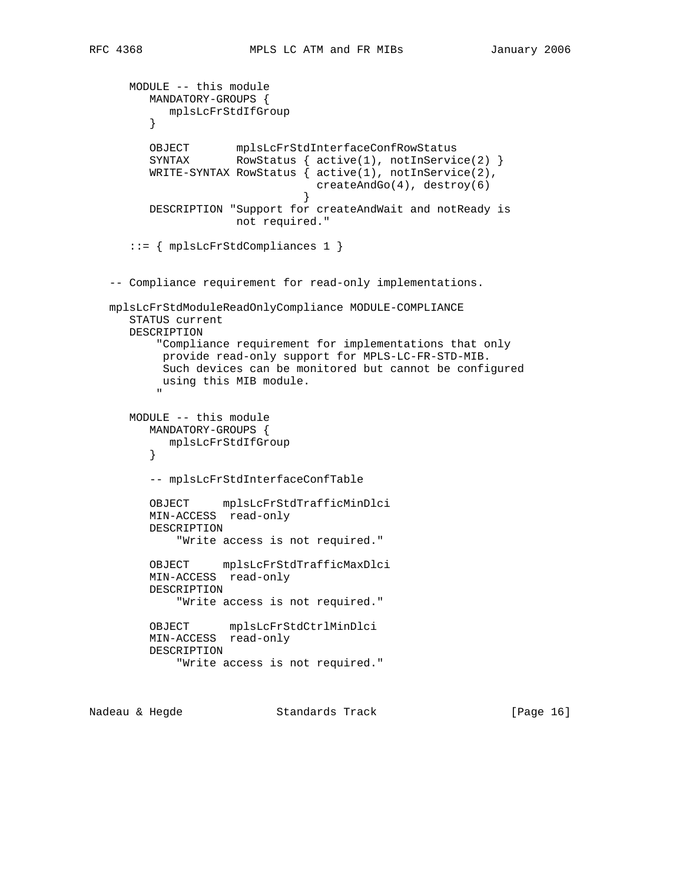```
 MODULE -- this module
           MANDATORY-GROUPS {
              mplsLcFrStdIfGroup
           }
 OBJECT mplsLcFrStdInterfaceConfRowStatus
SYNTAX RowStatus { active(1), notInService(2) }
           WRITE-SYNTAX RowStatus { active(1), notInService(2),
                                       createAndGo(4), destroy(6)
 }
           DESCRIPTION "Support for createAndWait and notReady is
                          not required."
       ::= { mplsLcFrStdCompliances 1 }
    -- Compliance requirement for read-only implementations.
    mplsLcFrStdModuleReadOnlyCompliance MODULE-COMPLIANCE
       STATUS current
       DESCRIPTION
            "Compliance requirement for implementations that only
             provide read-only support for MPLS-LC-FR-STD-MIB.
             Such devices can be monitored but cannot be configured
             using this MIB module.
" "The Contract of the Contract of the Contract of the Contract of the Contract of the Contract of the Contract of the Contract of the Contract of the Contract of the Contract of the Contract of the Contract of the Contrac
       MODULE -- this module
           MANDATORY-GROUPS {
            mplsLcFrStdIfGroup
           }
           -- mplsLcFrStdInterfaceConfTable
           OBJECT mplsLcFrStdTrafficMinDlci
           MIN-ACCESS read-only
           DESCRIPTION
                "Write access is not required."
           OBJECT mplsLcFrStdTrafficMaxDlci
           MIN-ACCESS read-only
           DESCRIPTION
               "Write access is not required."
           OBJECT mplsLcFrStdCtrlMinDlci
           MIN-ACCESS read-only
           DESCRIPTION
                "Write access is not required."
```
Nadeau & Hegde Standards Track [Page 16]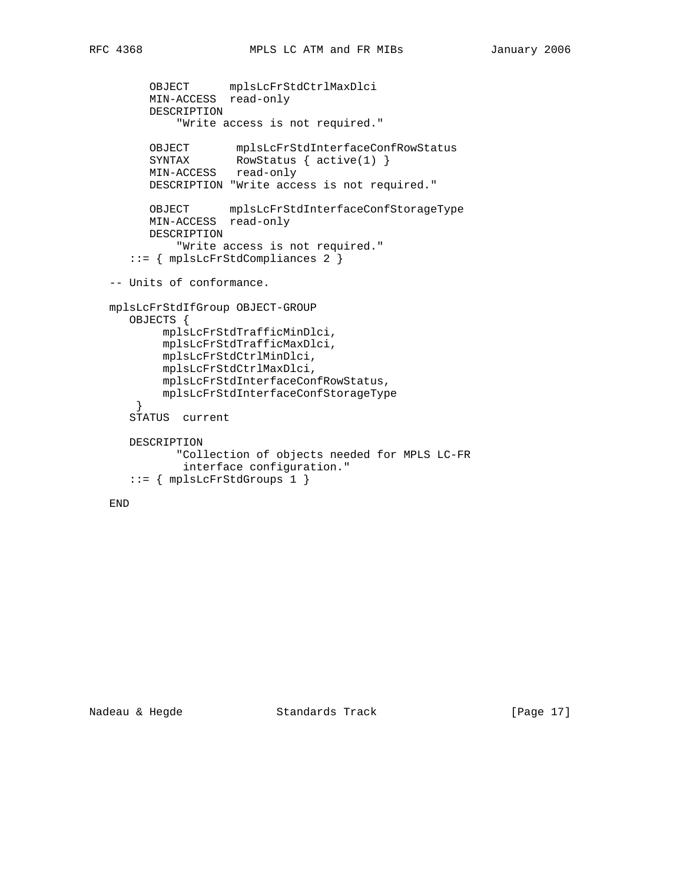```
 OBJECT mplsLcFrStdCtrlMaxDlci
 MIN-ACCESS read-only
         DESCRIPTION
             "Write access is not required."
 OBJECT mplsLcFrStdInterfaceConfRowStatus
SYNTAX RowStatus { active(1) }
         MIN-ACCESS read-only
         DESCRIPTION "Write access is not required."
         OBJECT mplsLcFrStdInterfaceConfStorageType
         MIN-ACCESS read-only
         DESCRIPTION
            "Write access is not required."
      ::= { mplsLcFrStdCompliances 2 }
   -- Units of conformance.
   mplsLcFrStdIfGroup OBJECT-GROUP
      OBJECTS {
           mplsLcFrStdTrafficMinDlci,
           mplsLcFrStdTrafficMaxDlci,
           mplsLcFrStdCtrlMinDlci,
           mplsLcFrStdCtrlMaxDlci,
           mplsLcFrStdInterfaceConfRowStatus,
           mplsLcFrStdInterfaceConfStorageType
       }
      STATUS current
      DESCRIPTION
             "Collection of objects needed for MPLS LC-FR
             interface configuration."
      ::= { mplsLcFrStdGroups 1 }
```
END

Nadeau & Hegde Standards Track [Page 17]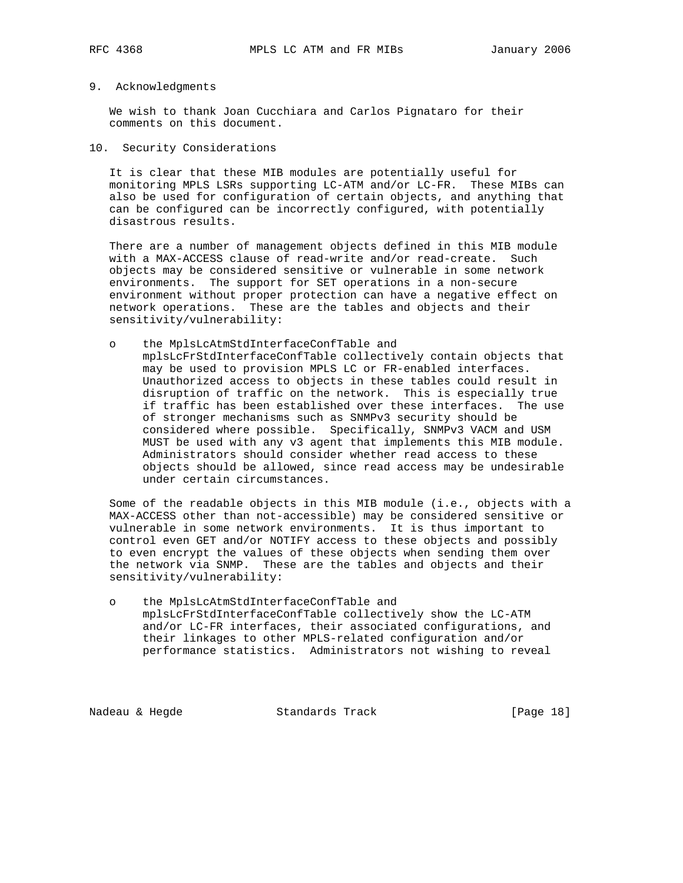### 9. Acknowledgments

 We wish to thank Joan Cucchiara and Carlos Pignataro for their comments on this document.

#### 10. Security Considerations

 It is clear that these MIB modules are potentially useful for monitoring MPLS LSRs supporting LC-ATM and/or LC-FR. These MIBs can also be used for configuration of certain objects, and anything that can be configured can be incorrectly configured, with potentially disastrous results.

 There are a number of management objects defined in this MIB module with a MAX-ACCESS clause of read-write and/or read-create. Such objects may be considered sensitive or vulnerable in some network environments. The support for SET operations in a non-secure environment without proper protection can have a negative effect on network operations. These are the tables and objects and their sensitivity/vulnerability:

## o the MplsLcAtmStdInterfaceConfTable and mplsLcFrStdInterfaceConfTable collectively contain objects that may be used to provision MPLS LC or FR-enabled interfaces. Unauthorized access to objects in these tables could result in disruption of traffic on the network. This is especially true if traffic has been established over these interfaces. The use of stronger mechanisms such as SNMPv3 security should be considered where possible. Specifically, SNMPv3 VACM and USM MUST be used with any v3 agent that implements this MIB module. Administrators should consider whether read access to these objects should be allowed, since read access may be undesirable under certain circumstances.

 Some of the readable objects in this MIB module (i.e., objects with a MAX-ACCESS other than not-accessible) may be considered sensitive or vulnerable in some network environments. It is thus important to control even GET and/or NOTIFY access to these objects and possibly to even encrypt the values of these objects when sending them over the network via SNMP. These are the tables and objects and their sensitivity/vulnerability:

 o the MplsLcAtmStdInterfaceConfTable and mplsLcFrStdInterfaceConfTable collectively show the LC-ATM and/or LC-FR interfaces, their associated configurations, and their linkages to other MPLS-related configuration and/or performance statistics. Administrators not wishing to reveal

Nadeau & Hegde Standards Track [Page 18]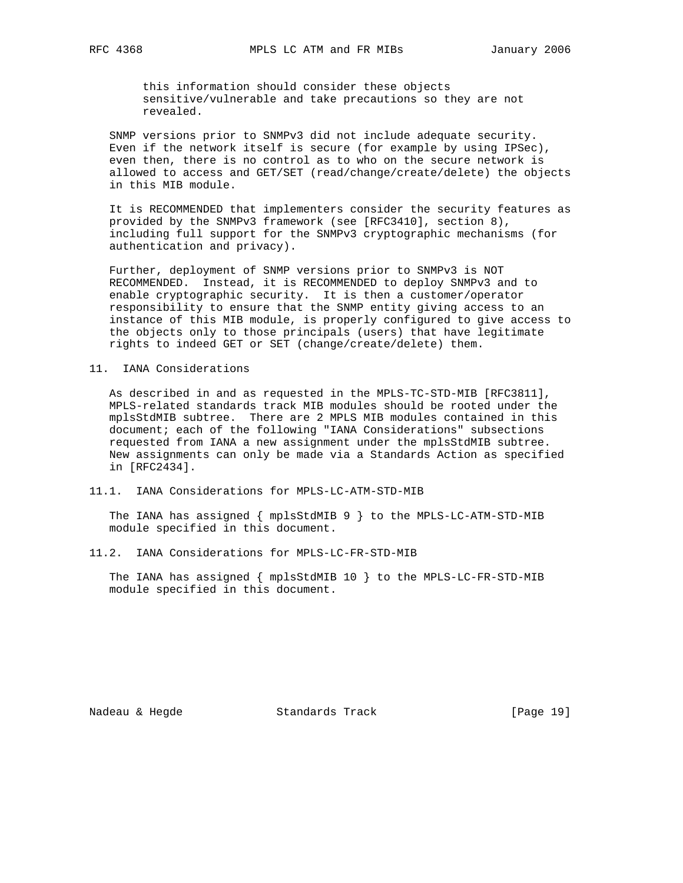this information should consider these objects sensitive/vulnerable and take precautions so they are not revealed.

 SNMP versions prior to SNMPv3 did not include adequate security. Even if the network itself is secure (for example by using IPSec), even then, there is no control as to who on the secure network is allowed to access and GET/SET (read/change/create/delete) the objects in this MIB module.

 It is RECOMMENDED that implementers consider the security features as provided by the SNMPv3 framework (see [RFC3410], section 8), including full support for the SNMPv3 cryptographic mechanisms (for authentication and privacy).

 Further, deployment of SNMP versions prior to SNMPv3 is NOT RECOMMENDED. Instead, it is RECOMMENDED to deploy SNMPv3 and to enable cryptographic security. It is then a customer/operator responsibility to ensure that the SNMP entity giving access to an instance of this MIB module, is properly configured to give access to the objects only to those principals (users) that have legitimate rights to indeed GET or SET (change/create/delete) them.

#### 11. IANA Considerations

 As described in and as requested in the MPLS-TC-STD-MIB [RFC3811], MPLS-related standards track MIB modules should be rooted under the mplsStdMIB subtree. There are 2 MPLS MIB modules contained in this document; each of the following "IANA Considerations" subsections requested from IANA a new assignment under the mplsStdMIB subtree. New assignments can only be made via a Standards Action as specified in [RFC2434].

#### 11.1. IANA Considerations for MPLS-LC-ATM-STD-MIB

 The IANA has assigned { mplsStdMIB 9 } to the MPLS-LC-ATM-STD-MIB module specified in this document.

#### 11.2. IANA Considerations for MPLS-LC-FR-STD-MIB

 The IANA has assigned { mplsStdMIB 10 } to the MPLS-LC-FR-STD-MIB module specified in this document.

Nadeau & Hegde Standards Track [Page 19]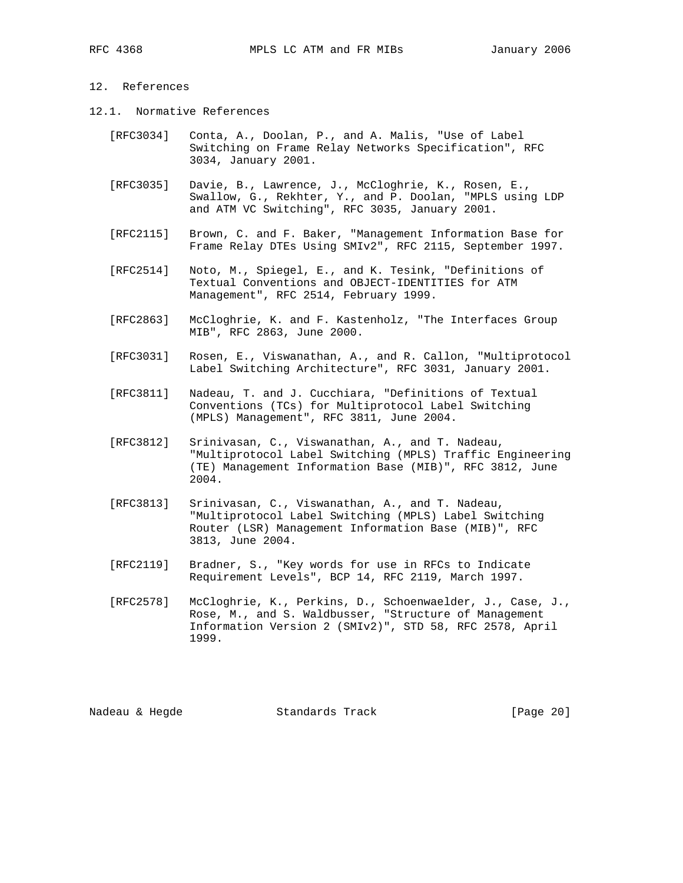### 12. References

- 12.1. Normative References
	- [RFC3034] Conta, A., Doolan, P., and A. Malis, "Use of Label Switching on Frame Relay Networks Specification", RFC 3034, January 2001.
	- [RFC3035] Davie, B., Lawrence, J., McCloghrie, K., Rosen, E., Swallow, G., Rekhter, Y., and P. Doolan, "MPLS using LDP and ATM VC Switching", RFC 3035, January 2001.
	- [RFC2115] Brown, C. and F. Baker, "Management Information Base for Frame Relay DTEs Using SMIv2", RFC 2115, September 1997.
	- [RFC2514] Noto, M., Spiegel, E., and K. Tesink, "Definitions of Textual Conventions and OBJECT-IDENTITIES for ATM Management", RFC 2514, February 1999.
	- [RFC2863] McCloghrie, K. and F. Kastenholz, "The Interfaces Group MIB", RFC 2863, June 2000.
	- [RFC3031] Rosen, E., Viswanathan, A., and R. Callon, "Multiprotocol Label Switching Architecture", RFC 3031, January 2001.
	- [RFC3811] Nadeau, T. and J. Cucchiara, "Definitions of Textual Conventions (TCs) for Multiprotocol Label Switching (MPLS) Management", RFC 3811, June 2004.
	- [RFC3812] Srinivasan, C., Viswanathan, A., and T. Nadeau, "Multiprotocol Label Switching (MPLS) Traffic Engineering (TE) Management Information Base (MIB)", RFC 3812, June 2004.
	- [RFC3813] Srinivasan, C., Viswanathan, A., and T. Nadeau, "Multiprotocol Label Switching (MPLS) Label Switching Router (LSR) Management Information Base (MIB)", RFC 3813, June 2004.
	- [RFC2119] Bradner, S., "Key words for use in RFCs to Indicate Requirement Levels", BCP 14, RFC 2119, March 1997.
	- [RFC2578] McCloghrie, K., Perkins, D., Schoenwaelder, J., Case, J., Rose, M., and S. Waldbusser, "Structure of Management Information Version 2 (SMIv2)", STD 58, RFC 2578, April 1999.

Nadeau & Hegde Standards Track [Page 20]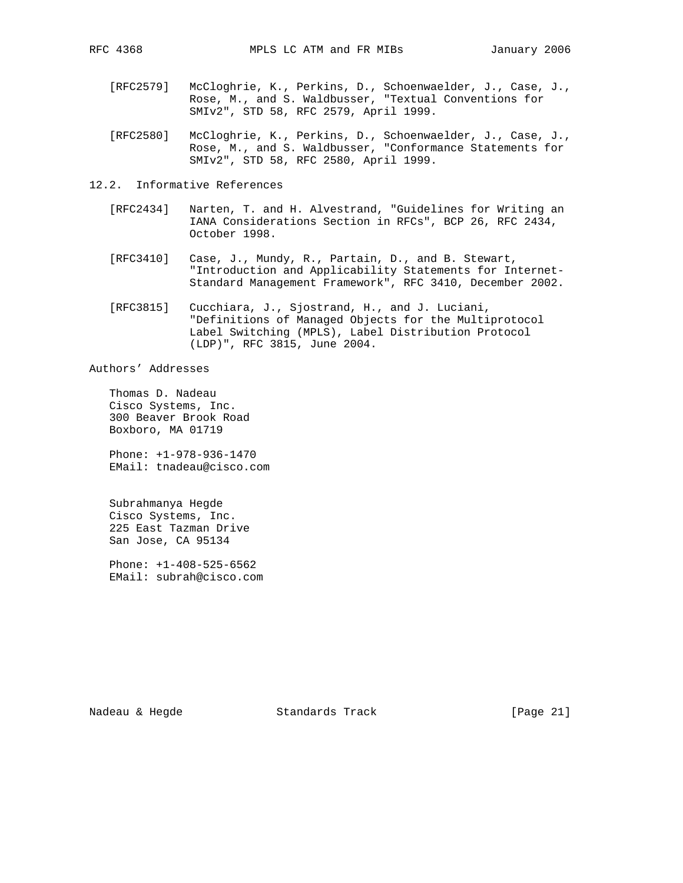- [RFC2579] McCloghrie, K., Perkins, D., Schoenwaelder, J., Case, J., Rose, M., and S. Waldbusser, "Textual Conventions for SMIv2", STD 58, RFC 2579, April 1999.
- [RFC2580] McCloghrie, K., Perkins, D., Schoenwaelder, J., Case, J., Rose, M., and S. Waldbusser, "Conformance Statements for SMIv2", STD 58, RFC 2580, April 1999.
- 12.2. Informative References
	- [RFC2434] Narten, T. and H. Alvestrand, "Guidelines for Writing an IANA Considerations Section in RFCs", BCP 26, RFC 2434, October 1998.
	- [RFC3410] Case, J., Mundy, R., Partain, D., and B. Stewart, "Introduction and Applicability Statements for Internet- Standard Management Framework", RFC 3410, December 2002.
	- [RFC3815] Cucchiara, J., Sjostrand, H., and J. Luciani, "Definitions of Managed Objects for the Multiprotocol Label Switching (MPLS), Label Distribution Protocol (LDP)", RFC 3815, June 2004.

Authors' Addresses

 Thomas D. Nadeau Cisco Systems, Inc. 300 Beaver Brook Road Boxboro, MA 01719

 Phone: +1-978-936-1470 EMail: tnadeau@cisco.com

 Subrahmanya Hegde Cisco Systems, Inc. 225 East Tazman Drive San Jose, CA 95134

 Phone: +1-408-525-6562 EMail: subrah@cisco.com

Nadeau & Hegde Standards Track [Page 21]